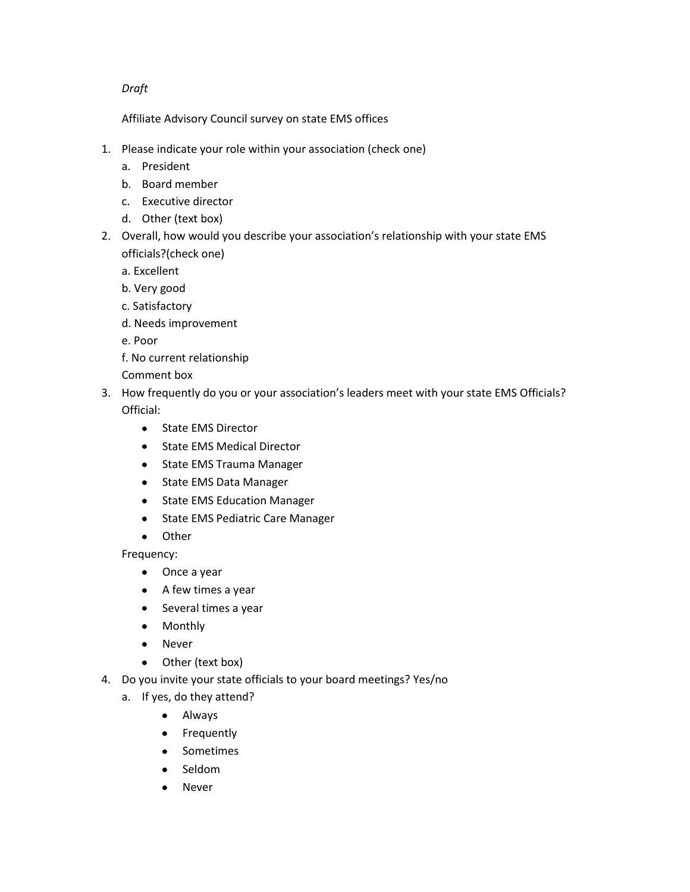## *Draft*

Affiliate Advisory Council survey on state EMS offices

- 1. Please indicate your role within your association (check one)
	- a. President
	- b. Board member
	- c. Executive director
	- d. Other (text box)
- 2. Overall, how would you describe your association's relationship with your state EMS officials?(check one)
	- a. Excellent
	- b. Very good
	- c. Satisfactory
	- d. Needs improvement
	- e. Poor
	- f. No current relationship
	- Comment box
- 3. How frequently do you or your association's leaders meet with your state EMS Officials? Official:
	- State EMS Director
	- State EMS Medical Director
	- State EMS Trauma Manager
	- State EMS Data Manager
	- State EMS Education Manager
	- State EMS Pediatric Care Manager
	- Other
	- Frequency:
		- Once a year
		- A few times a year
		- Several times a year
		- Monthly
		- Never  $\bullet$
		- Other (text box)  $\bullet$
- 4. Do you invite your state officials to your board meetings? Yes/no
	- a. If yes, do they attend?
		- Always
		- Frequently
		- Sometimes
		- Seldom  $\bullet$
		- Never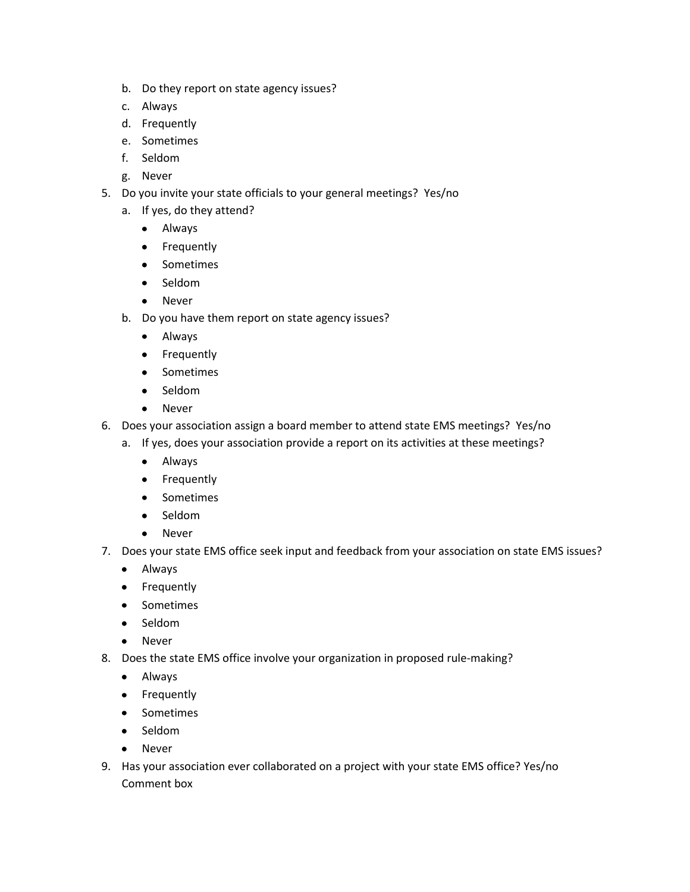- b. Do they report on state agency issues?
- c. Always
- d. Frequently
- e. Sometimes
- f. Seldom
- g. Never
- 5. Do you invite your state officials to your general meetings? Yes/no
	- a. If yes, do they attend?
		- Always
		- **•** Frequently
		- Sometimes
		- Seldom
		- Never
	- b. Do you have them report on state agency issues?
		- Always
		- Frequently
		- Sometimes
		- Seldom  $\bullet$
		- Never  $\bullet$
- 6. Does your association assign a board member to attend state EMS meetings? Yes/no
	- a. If yes, does your association provide a report on its activities at these meetings?
		- Always
		- Frequently
		- Sometimes
		- Seldom
		- Never  $\bullet$
- 7. Does your state EMS office seek input and feedback from your association on state EMS issues?
	- Always
	- Frequently
	- Sometimes
	- Seldom
	- Never
- 8. Does the state EMS office involve your organization in proposed rule-making?
	- Always
	- Frequently
	- Sometimes
	- Seldom
	- Never
- 9. Has your association ever collaborated on a project with your state EMS office? Yes/no Comment box